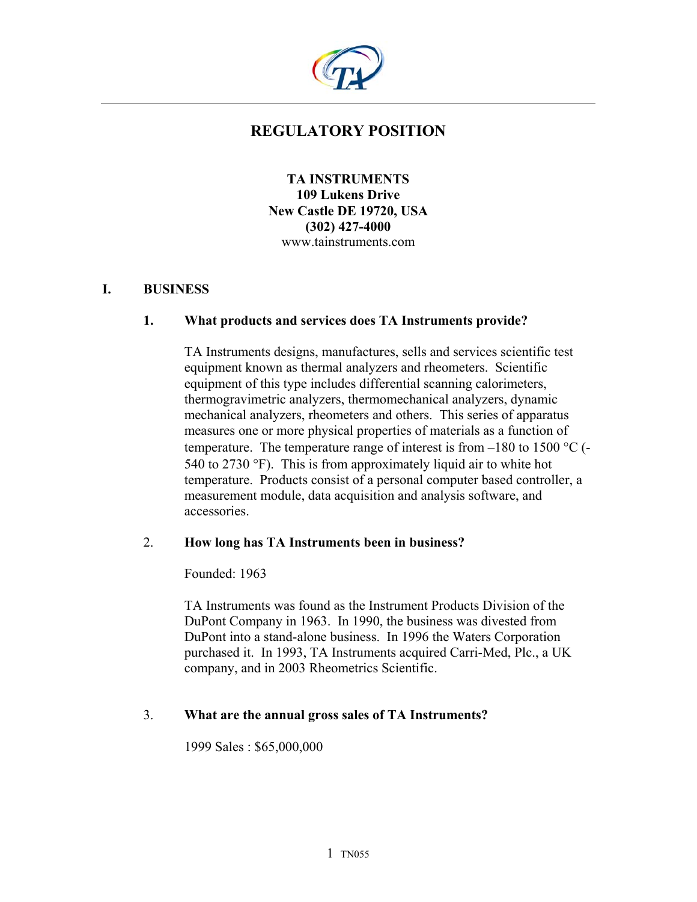

# **REGULATORY POSITION**

**TA INSTRUMENTS 109 Lukens Drive New Castle DE 19720, USA (302) 427-4000**  www.tainstruments.com

# **I. BUSINESS**

#### **1. What products and services does TA Instruments provide?**

TA Instruments designs, manufactures, sells and services scientific test equipment known as thermal analyzers and rheometers. Scientific equipment of this type includes differential scanning calorimeters, thermogravimetric analyzers, thermomechanical analyzers, dynamic mechanical analyzers, rheometers and others. This series of apparatus measures one or more physical properties of materials as a function of temperature. The temperature range of interest is from  $-180$  to 1500 °C (-540 to 2730 °F). This is from approximately liquid air to white hot temperature. Products consist of a personal computer based controller, a measurement module, data acquisition and analysis software, and accessories.

#### 2. **How long has TA Instruments been in business?**

#### Founded: 1963

TA Instruments was found as the Instrument Products Division of the DuPont Company in 1963. In 1990, the business was divested from DuPont into a stand-alone business. In 1996 the Waters Corporation purchased it. In 1993, TA Instruments acquired Carri-Med, Plc., a UK company, and in 2003 Rheometrics Scientific.

#### 3. **What are the annual gross sales of TA Instruments?**

1999 Sales : \$65,000,000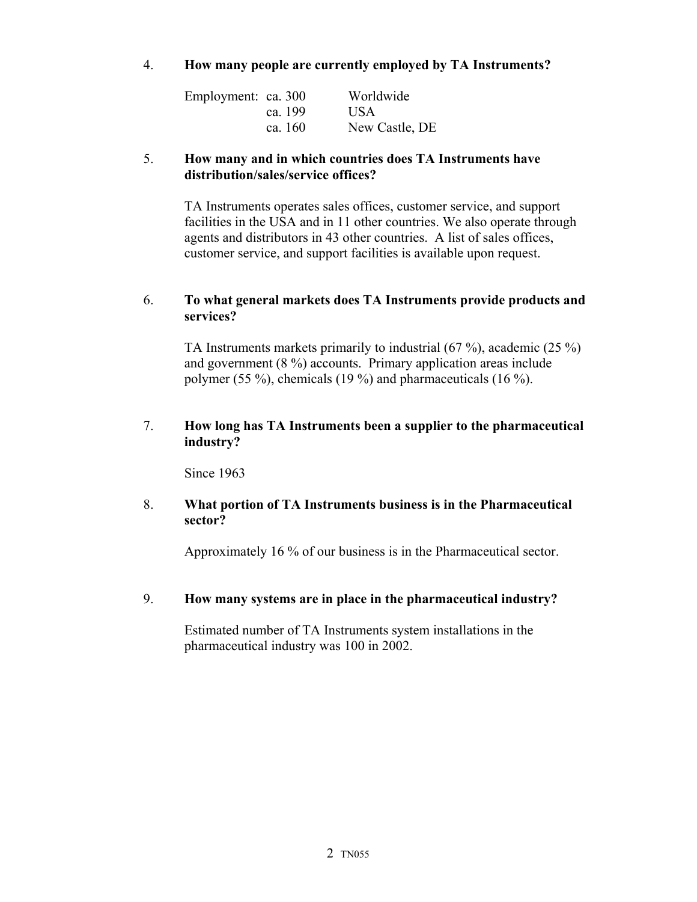### 4. **How many people are currently employed by TA Instruments?**

| Employment: ca. 300 |         | Worldwide      |
|---------------------|---------|----------------|
|                     | ca. 199 | <b>USA</b>     |
|                     | ca. 160 | New Castle, DE |

### 5. **How many and in which countries does TA Instruments have distribution/sales/service offices?**

TA Instruments operates sales offices, customer service, and support facilities in the USA and in 11 other countries. We also operate through agents and distributors in 43 other countries. A list of sales offices, customer service, and support facilities is available upon request.

### 6. **To what general markets does TA Instruments provide products and services?**

TA Instruments markets primarily to industrial (67 %), academic (25 %) and government (8 %) accounts. Primary application areas include polymer (55 %), chemicals (19 %) and pharmaceuticals (16 %).

### 7. **How long has TA Instruments been a supplier to the pharmaceutical industry?**

Since 1963

### 8. **What portion of TA Instruments business is in the Pharmaceutical sector?**

Approximately 16 % of our business is in the Pharmaceutical sector.

# 9. **How many systems are in place in the pharmaceutical industry?**

Estimated number of TA Instruments system installations in the pharmaceutical industry was 100 in 2002.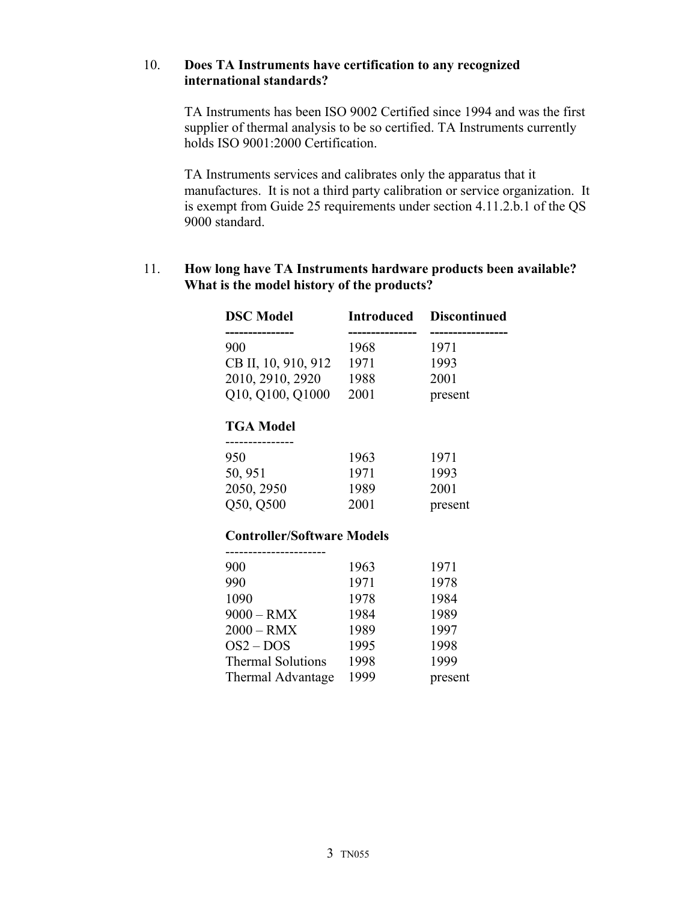#### 10. **Does TA Instruments have certification to any recognized international standards?**

TA Instruments has been ISO 9002 Certified since 1994 and was the first supplier of thermal analysis to be so certified. TA Instruments currently holds ISO 9001:2000 Certification.

TA Instruments services and calibrates only the apparatus that it manufactures. It is not a third party calibration or service organization. It is exempt from Guide 25 requirements under section 4.11.2.b.1 of the QS 9000 standard.

# 11. **How long have TA Instruments hardware products been available? What is the model history of the products?**

| <b>DSC</b> Model                  | <b>Introduced</b> | <b>Discontinued</b> |
|-----------------------------------|-------------------|---------------------|
| ------------<br>900               | 1968              | 1971                |
| CB II, 10, 910, 912               | 1971              | 1993                |
| 2010, 2910, 2920                  | 1988              | 2001                |
| Q10, Q100, Q1000                  | 2001              | present             |
| <b>TGA Model</b>                  |                   |                     |
| 950                               | 1963              | 1971                |
| 50, 951                           | 1971              | 1993                |
| 2050, 2950                        | 1989              | 2001                |
| Q50, Q500                         | 2001              | present             |
| <b>Controller/Software Models</b> |                   |                     |
| 900                               | 1963              | 1971                |
| 990                               | 1971              | 1978                |
| 1090                              | 1978              | 1984                |
| $9000 - RMX$                      | 1984              | 1989                |
| 2000 – RMX                        | 1989              | 1997                |
| $OS2 - DOS$                       | 1995              | 1998                |
| <b>Thermal Solutions</b>          | 1998              | 1999                |
| <b>Thermal Advantage</b>          | 1999              | present             |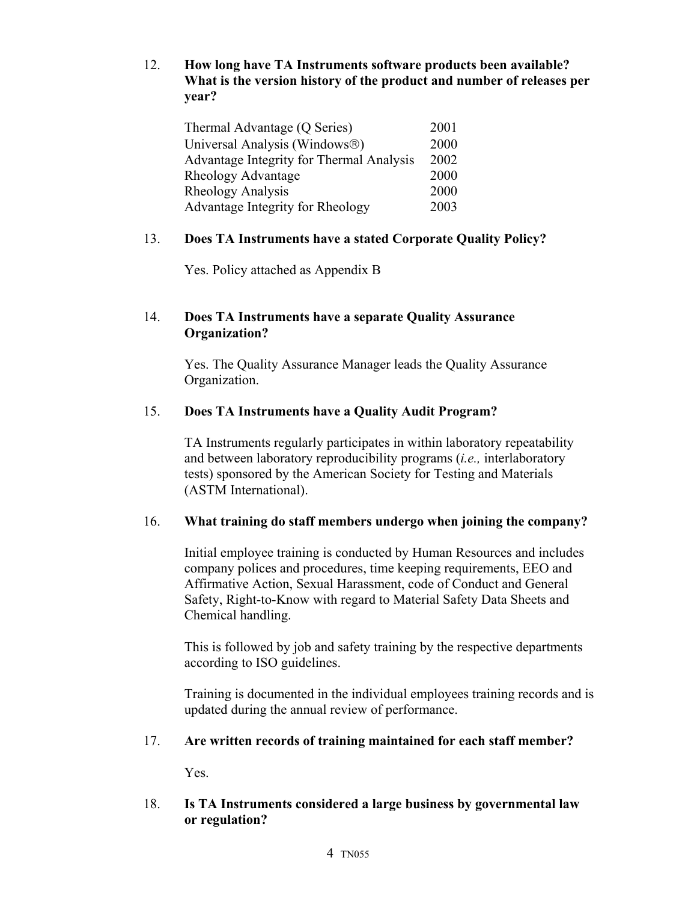12. **How long have TA Instruments software products been available? What is the version history of the product and number of releases per year?**

| Thermal Advantage (Q Series)             | 2001 |
|------------------------------------------|------|
| Universal Analysis (Windows®)            | 2000 |
| Advantage Integrity for Thermal Analysis | 2002 |
| Rheology Advantage                       | 2000 |
| Rheology Analysis                        | 2000 |
| Advantage Integrity for Rheology         | 2003 |

# 13. **Does TA Instruments have a stated Corporate Quality Policy?**

Yes. Policy attached as Appendix B

### 14. **Does TA Instruments have a separate Quality Assurance Organization?**

Yes. The Quality Assurance Manager leads the Quality Assurance Organization.

# 15. **Does TA Instruments have a Quality Audit Program?**

TA Instruments regularly participates in within laboratory repeatability and between laboratory reproducibility programs (*i.e.,* interlaboratory tests) sponsored by the American Society for Testing and Materials (ASTM International).

# 16. **What training do staff members undergo when joining the company?**

Initial employee training is conducted by Human Resources and includes company polices and procedures, time keeping requirements, EEO and Affirmative Action, Sexual Harassment, code of Conduct and General Safety, Right-to-Know with regard to Material Safety Data Sheets and Chemical handling.

This is followed by job and safety training by the respective departments according to ISO guidelines.

Training is documented in the individual employees training records and is updated during the annual review of performance.

# 17. **Are written records of training maintained for each staff member?**

Yes.

# 18. **Is TA Instruments considered a large business by governmental law or regulation?**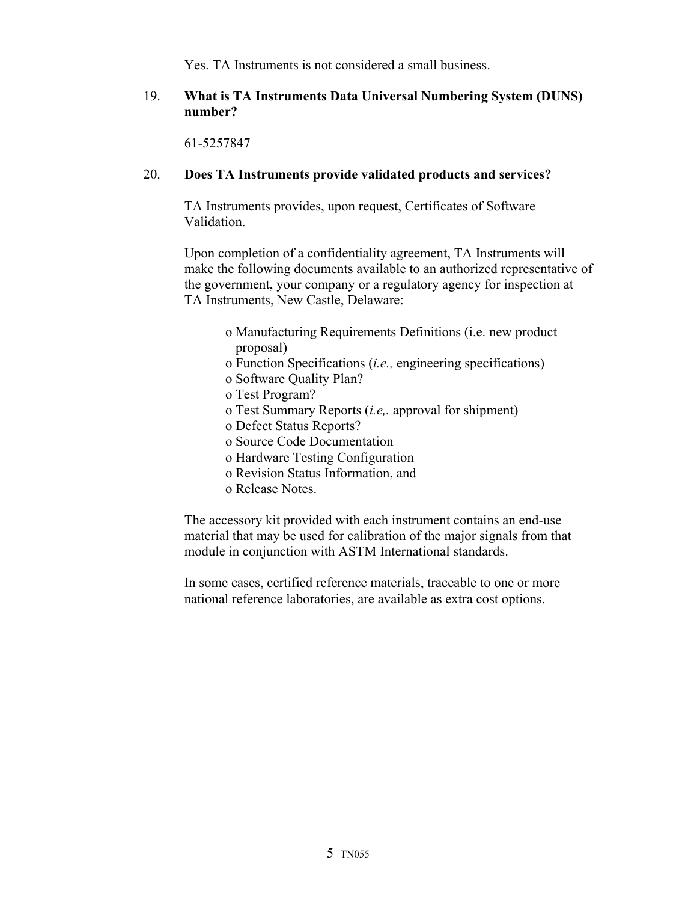Yes. TA Instruments is not considered a small business.

#### 19. **What is TA Instruments Data Universal Numbering System (DUNS) number?**

61-5257847

#### 20. **Does TA Instruments provide validated products and services?**

TA Instruments provides, upon request, Certificates of Software Validation.

Upon completion of a confidentiality agreement, TA Instruments will make the following documents available to an authorized representative of the government, your company or a regulatory agency for inspection at TA Instruments, New Castle, Delaware:

- o Manufacturing Requirements Definitions (i.e. new product proposal)
- o Function Specifications (*i.e.,* engineering specifications)
- o Software Quality Plan?
- o Test Program?
- o Test Summary Reports (*i.e,.* approval for shipment)
- o Defect Status Reports?
- o Source Code Documentation
- o Hardware Testing Configuration
- o Revision Status Information, and
- o Release Notes.

The accessory kit provided with each instrument contains an end-use material that may be used for calibration of the major signals from that module in conjunction with ASTM International standards.

In some cases, certified reference materials, traceable to one or more national reference laboratories, are available as extra cost options.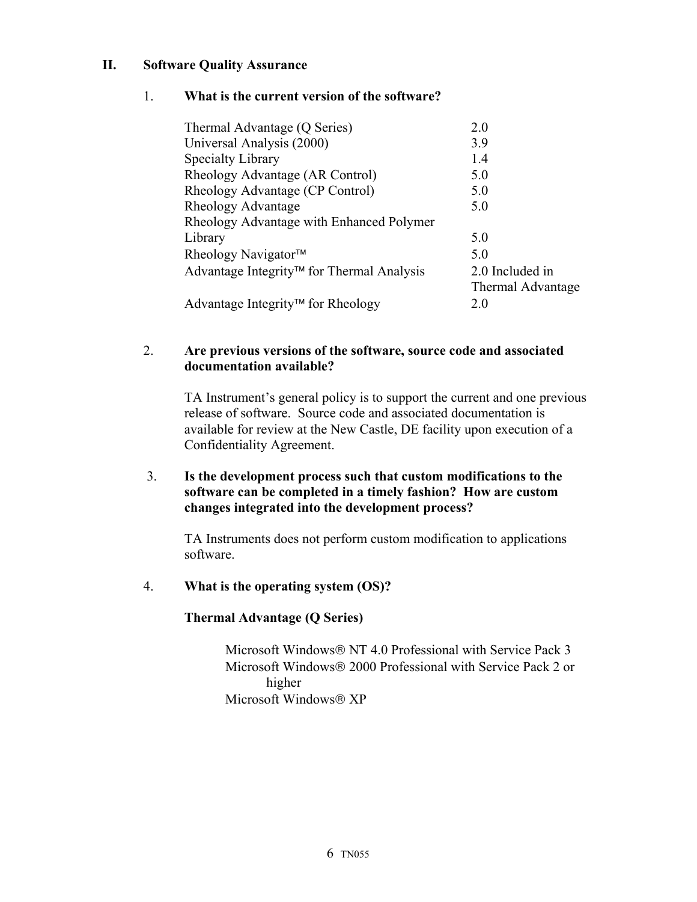# **II. Software Quality Assurance**

### 1. **What is the current version of the software?**

| Thermal Advantage (Q Series)                  | 2.0               |
|-----------------------------------------------|-------------------|
| Universal Analysis (2000)                     | 3.9               |
| <b>Specialty Library</b>                      | 1.4               |
| Rheology Advantage (AR Control)               | 5.0               |
| Rheology Advantage (CP Control)               | 5.0               |
| Rheology Advantage                            | 5.0               |
| Rheology Advantage with Enhanced Polymer      |                   |
| Library                                       | 5.0               |
| Rheology Navigator™                           | 5.0               |
| Advantage Integrity™ for Thermal Analysis     | 2.0 Included in   |
|                                               | Thermal Advantage |
| Advantage Integrity <sup>™</sup> for Rheology | 20                |
|                                               |                   |

### 2. **Are previous versions of the software, source code and associated documentation available?**

TA Instrument's general policy is to support the current and one previous release of software. Source code and associated documentation is available for review at the New Castle, DE facility upon execution of a Confidentiality Agreement.

### 3. **Is the development process such that custom modifications to the software can be completed in a timely fashion? How are custom changes integrated into the development process?**

TA Instruments does not perform custom modification to applications software.

#### 4. **What is the operating system (OS)?**

#### **Thermal Advantage (Q Series)**

Microsoft Windows® NT 4.0 Professional with Service Pack 3 Microsoft Windows® 2000 Professional with Service Pack 2 or higher Microsoft Windows<sup>®</sup> XP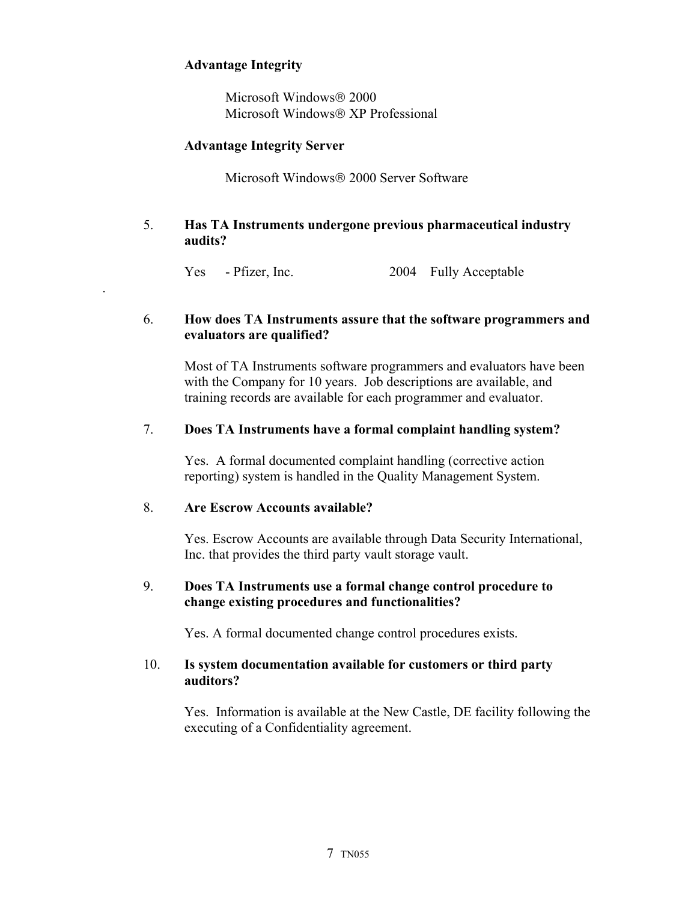# **Advantage Integrity**

.

**Microsoft Windows ® 2000** Microsoft Windows® XP Professional

### **Advantage Integrity Server**

Microsoft Windows 2000 Server Software

5. **Has TA Instruments undergone previous pharmaceutical industry audits?** 

Yes - Pfizer, Inc. 2004 Fully Acceptable

### 6. **How does TA Instruments assure that the software programmers and evaluators are qualified?**

Most of TA Instruments software programmers and evaluators have been with the Company for 10 years. Job descriptions are available, and training records are available for each programmer and evaluator.

### 7. **Does TA Instruments have a formal complaint handling system?**

Yes. A formal documented complaint handling (corrective action reporting) system is handled in the Quality Management System.

#### 8. **Are Escrow Accounts available?**

Yes. Escrow Accounts are available through Data Security International, Inc. that provides the third party vault storage vault.

### 9. **Does TA Instruments use a formal change control procedure to change existing procedures and functionalities?**

Yes. A formal documented change control procedures exists.

### 10. **Is system documentation available for customers or third party auditors?**

Yes. Information is available at the New Castle, DE facility following the executing of a Confidentiality agreement.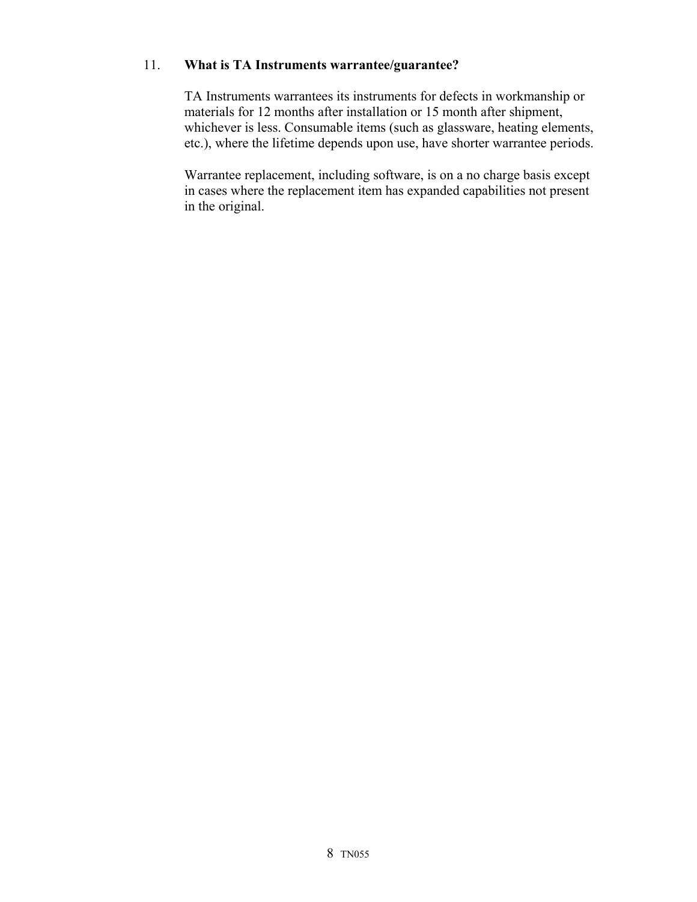### 11. **What is TA Instruments warrantee/guarantee?**

TA Instruments warrantees its instruments for defects in workmanship or materials for 12 months after installation or 15 month after shipment, whichever is less. Consumable items (such as glassware, heating elements, etc.), where the lifetime depends upon use, have shorter warrantee periods.

Warrantee replacement, including software, is on a no charge basis except in cases where the replacement item has expanded capabilities not present in the original.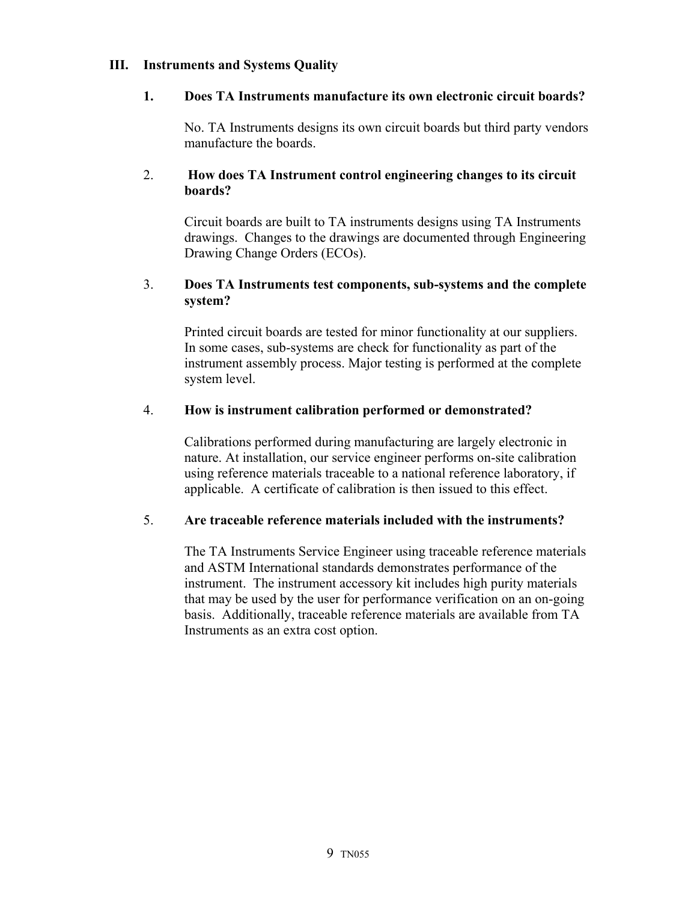### **III. Instruments and Systems Quality**

### **1. Does TA Instruments manufacture its own electronic circuit boards?**

No. TA Instruments designs its own circuit boards but third party vendors manufacture the boards.

### 2. **How does TA Instrument control engineering changes to its circuit boards?**

Circuit boards are built to TA instruments designs using TA Instruments drawings. Changes to the drawings are documented through Engineering Drawing Change Orders (ECOs).

### 3. **Does TA Instruments test components, sub-systems and the complete system?**

Printed circuit boards are tested for minor functionality at our suppliers. In some cases, sub-systems are check for functionality as part of the instrument assembly process. Major testing is performed at the complete system level.

# 4. **How is instrument calibration performed or demonstrated?**

Calibrations performed during manufacturing are largely electronic in nature. At installation, our service engineer performs on-site calibration using reference materials traceable to a national reference laboratory, if applicable. A certificate of calibration is then issued to this effect.

# 5. **Are traceable reference materials included with the instruments?**

The TA Instruments Service Engineer using traceable reference materials and ASTM International standards demonstrates performance of the instrument. The instrument accessory kit includes high purity materials that may be used by the user for performance verification on an on-going basis. Additionally, traceable reference materials are available from TA Instruments as an extra cost option.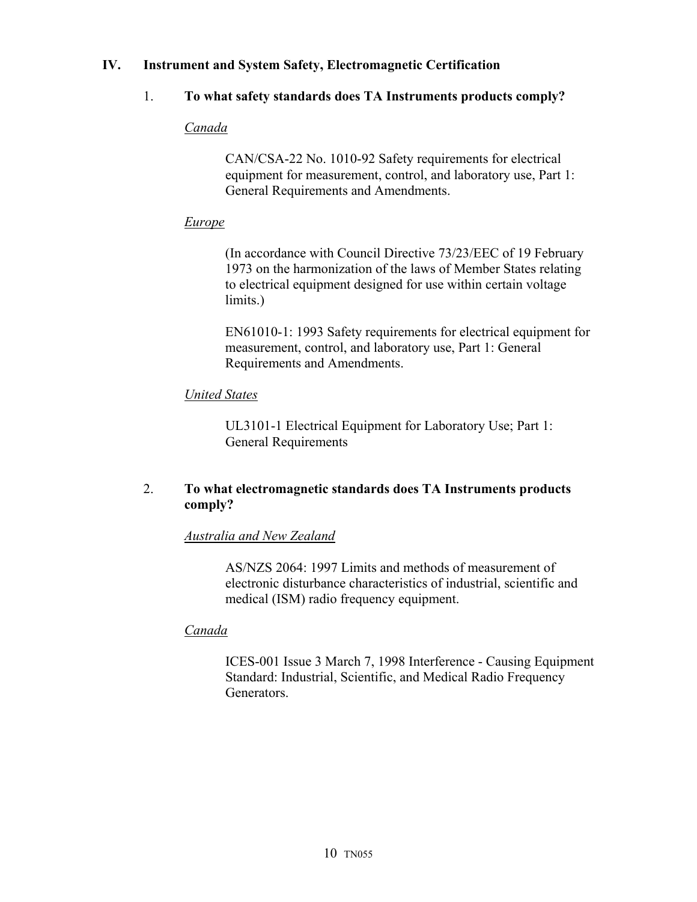# **IV. Instrument and System Safety, Electromagnetic Certification**

# 1. **To what safety standards does TA Instruments products comply?**

# *Canada*

CAN/CSA-22 No. 1010-92 Safety requirements for electrical equipment for measurement, control, and laboratory use, Part 1: General Requirements and Amendments.

# *Europe*

(In accordance with Council Directive 73/23/EEC of 19 February 1973 on the harmonization of the laws of Member States relating to electrical equipment designed for use within certain voltage limits.)

EN61010-1: 1993 Safety requirements for electrical equipment for measurement, control, and laboratory use, Part 1: General Requirements and Amendments.

# *United States*

UL3101-1 Electrical Equipment for Laboratory Use; Part 1: General Requirements

# 2. **To what electromagnetic standards does TA Instruments products comply?**

# *Australia and New Zealand*

AS/NZS 2064: 1997 Limits and methods of measurement of electronic disturbance characteristics of industrial, scientific and medical (ISM) radio frequency equipment.

# *Canada*

ICES-001 Issue 3 March 7, 1998 Interference - Causing Equipment Standard: Industrial, Scientific, and Medical Radio Frequency Generators.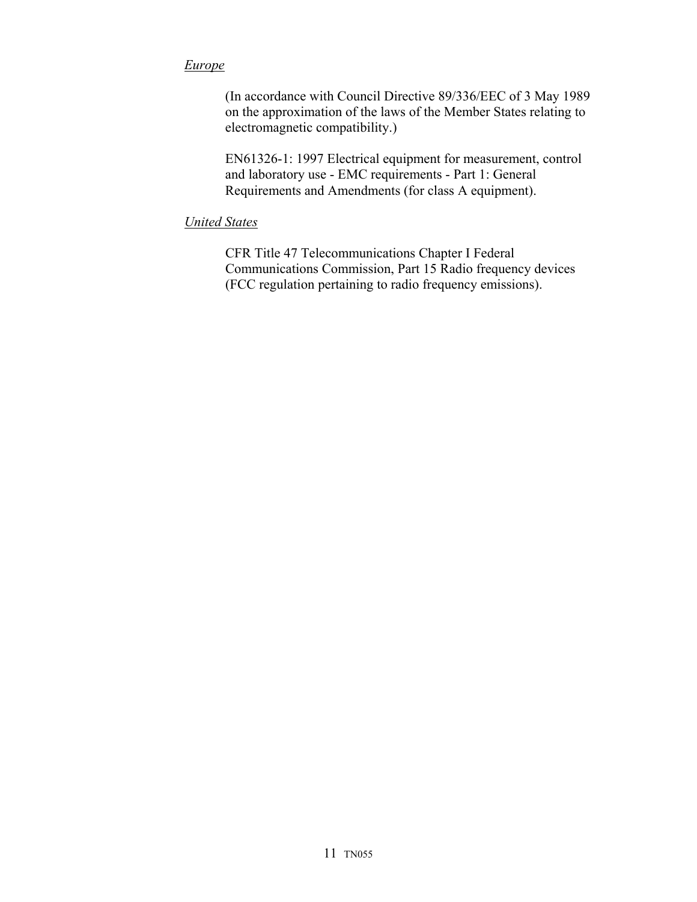### *Europe*

(In accordance with Council Directive 89/336/EEC of 3 May 1989 on the approximation of the laws of the Member States relating to electromagnetic compatibility.)

EN61326-1: 1997 Electrical equipment for measurement, control and laboratory use - EMC requirements - Part 1: General Requirements and Amendments (for class A equipment).

### *United States*

CFR Title 47 Telecommunications Chapter I Federal Communications Commission, Part 15 Radio frequency devices (FCC regulation pertaining to radio frequency emissions).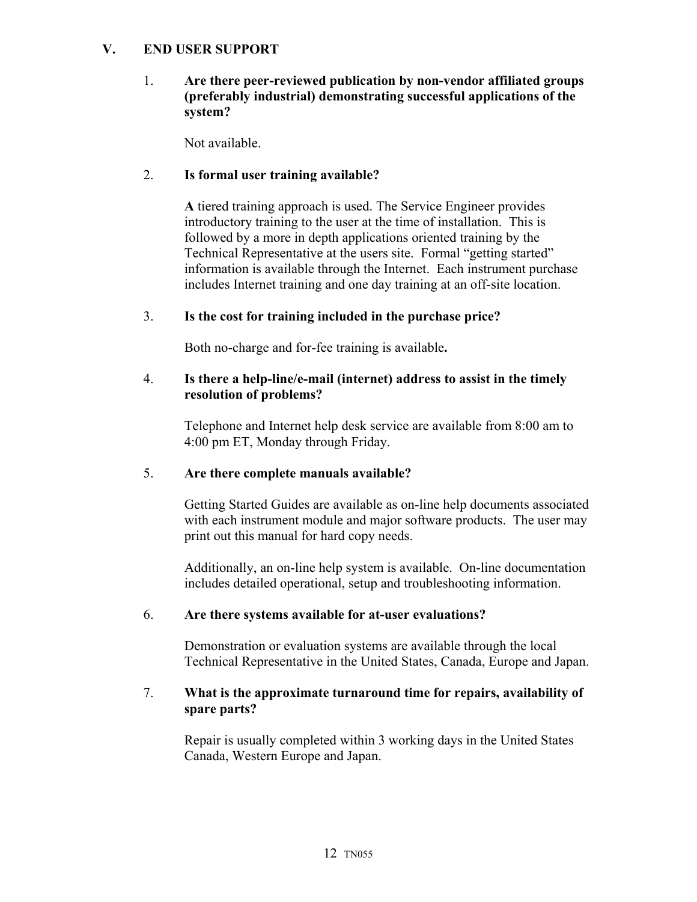### **V. END USER SUPPORT**

### 1. **Are there peer-reviewed publication by non-vendor affiliated groups (preferably industrial) demonstrating successful applications of the system?**

Not available.

### 2. **Is formal user training available?**

 **A** tiered training approach is used. The Service Engineer provides introductory training to the user at the time of installation. This is followed by a more in depth applications oriented training by the Technical Representative at the users site. Formal "getting started" information is available through the Internet. Each instrument purchase includes Internet training and one day training at an off-site location.

### 3. **Is the cost for training included in the purchase price?**

Both no-charge and for-fee training is available**.** 

#### 4. **Is there a help-line/e-mail (internet) address to assist in the timely resolution of problems?**

Telephone and Internet help desk service are available from 8:00 am to 4:00 pm ET, Monday through Friday.

#### 5. **Are there complete manuals available?**

Getting Started Guides are available as on-line help documents associated with each instrument module and major software products. The user may print out this manual for hard copy needs.

Additionally, an on-line help system is available. On-line documentation includes detailed operational, setup and troubleshooting information.

#### 6. **Are there systems available for at-user evaluations?**

Demonstration or evaluation systems are available through the local Technical Representative in the United States, Canada, Europe and Japan.

### 7. **What is the approximate turnaround time for repairs, availability of spare parts?**

Repair is usually completed within 3 working days in the United States Canada, Western Europe and Japan.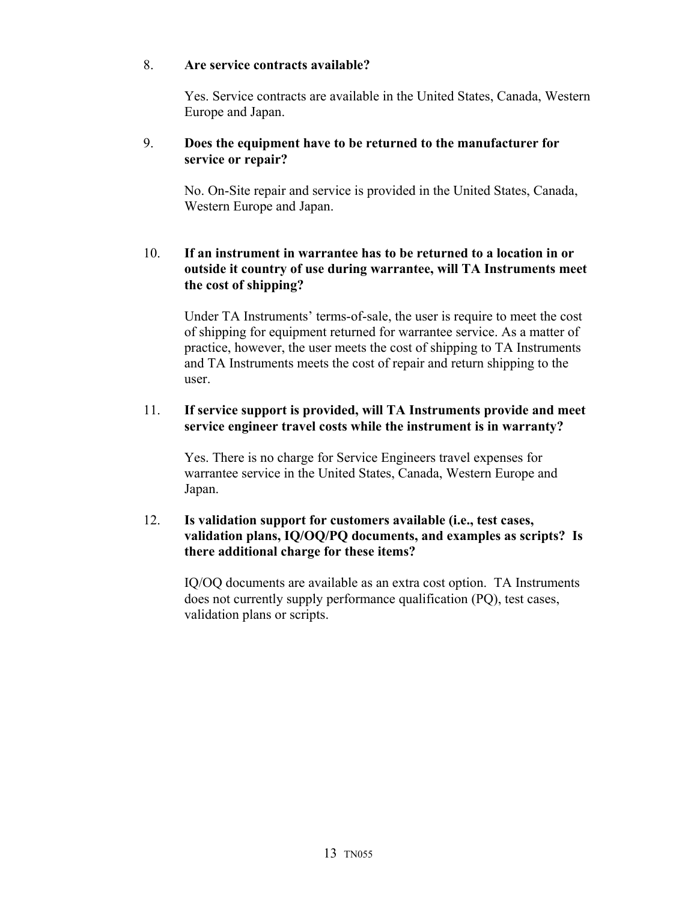### 8. **Are service contracts available?**

Yes. Service contracts are available in the United States, Canada, Western Europe and Japan.

### 9. **Does the equipment have to be returned to the manufacturer for service or repair?**

No. On-Site repair and service is provided in the United States, Canada, Western Europe and Japan.

# 10. **If an instrument in warrantee has to be returned to a location in or outside it country of use during warrantee, will TA Instruments meet the cost of shipping?**

Under TA Instruments' terms-of-sale, the user is require to meet the cost of shipping for equipment returned for warrantee service. As a matter of practice, however, the user meets the cost of shipping to TA Instruments and TA Instruments meets the cost of repair and return shipping to the user.

### 11. **If service support is provided, will TA Instruments provide and meet service engineer travel costs while the instrument is in warranty?**

Yes. There is no charge for Service Engineers travel expenses for warrantee service in the United States, Canada, Western Europe and Japan.

# 12. **Is validation support for customers available (i.e., test cases, validation plans, IQ/OQ/PQ documents, and examples as scripts? Is there additional charge for these items?**

IQ/OQ documents are available as an extra cost option. TA Instruments does not currently supply performance qualification (PQ), test cases, validation plans or scripts.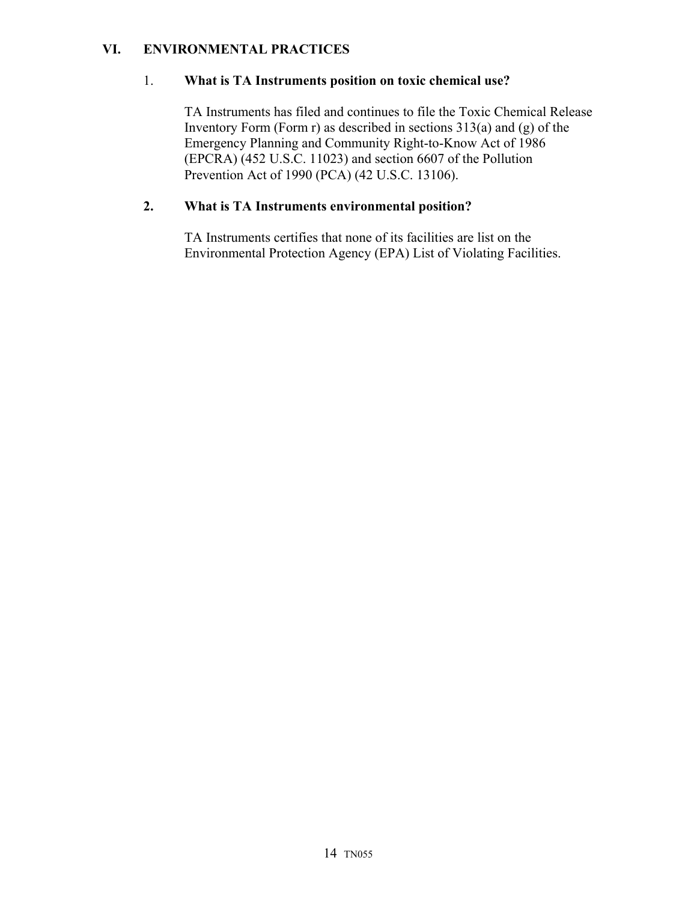# **VI. ENVIRONMENTAL PRACTICES**

# 1. **What is TA Instruments position on toxic chemical use?**

TA Instruments has filed and continues to file the Toxic Chemical Release Inventory Form (Form r) as described in sections  $313(a)$  and (g) of the Emergency Planning and Community Right-to-Know Act of 1986 (EPCRA) (452 U.S.C. 11023) and section 6607 of the Pollution Prevention Act of 1990 (PCA) (42 U.S.C. 13106).

# **2. What is TA Instruments environmental position?**

TA Instruments certifies that none of its facilities are list on the Environmental Protection Agency (EPA) List of Violating Facilities.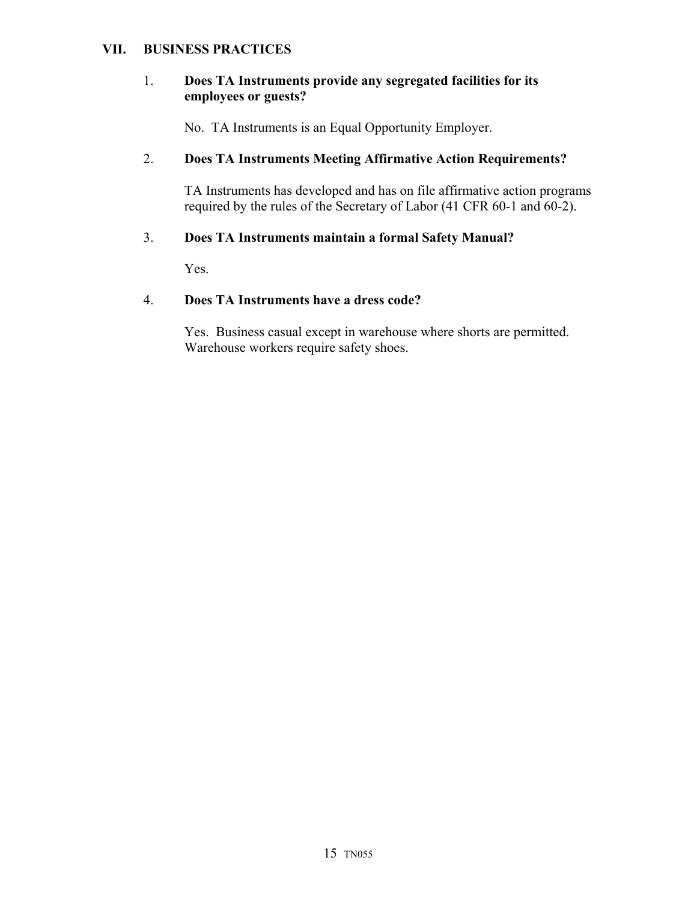#### **VII. BUSINESS PRACTICES**

#### 1. **Does TA Instruments provide any segregated facilities for its employees or guests?**

No. TA Instruments is an Equal Opportunity Employer.

# 2. **Does TA Instruments Meeting Affirmative Action Requirements?**

TA Instruments has developed and has on file affirmative action programs required by the rules of the Secretary of Labor (41 CFR 60-1 and 60-2).

### 3. **Does TA Instruments maintain a formal Safety Manual?**

Yes.

#### 4. **Does TA Instruments have a dress code?**

Yes. Business casual except in warehouse where shorts are permitted. Warehouse workers require safety shoes.